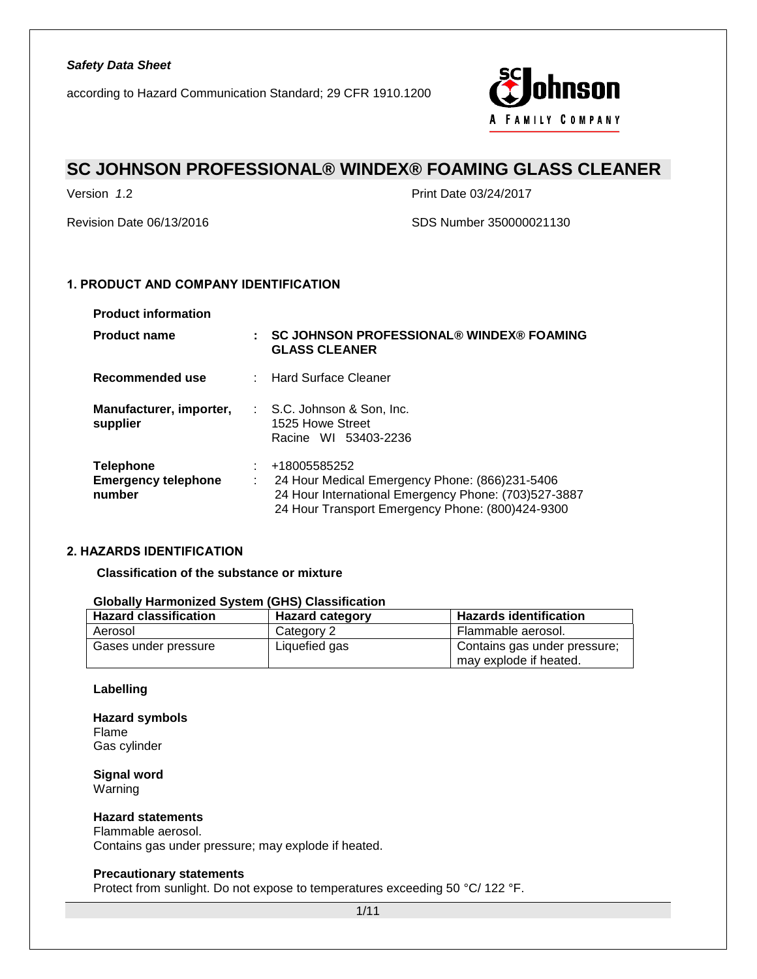according to Hazard Communication Standard; 29 CFR 1910.1200



# **SC JOHNSON PROFESSIONAL® WINDEX® FOAMING GLASS CLEANER**

Version *1*.2 Print Date 03/24/2017

Revision Date 06/13/2016 SDS Number 350000021130

## **1. PRODUCT AND COMPANY IDENTIFICATION**

| <b>Product information</b>                               |   |                                                                                                                                                                            |
|----------------------------------------------------------|---|----------------------------------------------------------------------------------------------------------------------------------------------------------------------------|
| <b>Product name</b>                                      | ÷ | <b>SC JOHNSON PROFESSIONAL® WINDEX® FOAMING</b><br><b>GLASS CLEANER</b>                                                                                                    |
| Recommended use                                          |   | : Hard Surface Cleaner                                                                                                                                                     |
| Manufacturer, importer,<br>supplier                      |   | : S.C. Johnson & Son, Inc.<br>1525 Howe Street<br>Racine WI 53403-2236                                                                                                     |
| <b>Telephone</b><br><b>Emergency telephone</b><br>number | ÷ | +18005585252<br>24 Hour Medical Emergency Phone: (866)231-5406<br>24 Hour International Emergency Phone: (703)527-3887<br>24 Hour Transport Emergency Phone: (800)424-9300 |

## **2. HAZARDS IDENTIFICATION**

## **Classification of the substance or mixture**

## **Globally Harmonized System (GHS) Classification**

| <b>Hazard classification</b> | <b>Hazard category</b> | <b>Hazards identification</b>                          |  |
|------------------------------|------------------------|--------------------------------------------------------|--|
| Aerosol                      | Category 2             | Flammable aerosol.                                     |  |
| Gases under pressure         | Liquefied gas          | Contains gas under pressure;<br>may explode if heated. |  |

### **Labelling**

**Hazard symbols** Flame Gas cylinder

**Signal word** Warning

# **Hazard statements**

Flammable aerosol. Contains gas under pressure; may explode if heated.

### **Precautionary statements**

Protect from sunlight. Do not expose to temperatures exceeding 50 °C/ 122 °F.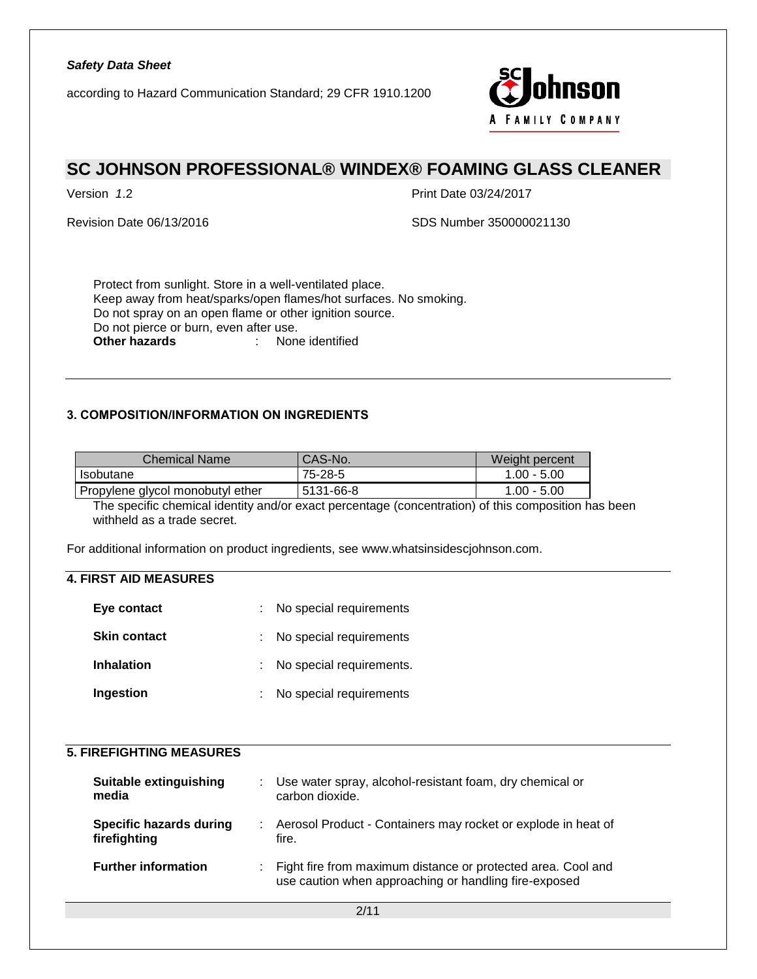according to Hazard Communication Standard; 29 CFR 1910.1200



# **SC JOHNSON PROFESSIONAL® WINDEX® FOAMING GLASS CLEANER**

Version *1*.2 Print Date 03/24/2017

Revision Date 06/13/2016 SDS Number 350000021130

Protect from sunlight. Store in a well-ventilated place. Keep away from heat/sparks/open flames/hot surfaces. No smoking. Do not spray on an open flame or other ignition source. Do not pierce or burn, even after use.<br>Other hazards : None **Other hazards** : None identified

# **3. COMPOSITION/INFORMATION ON INGREDIENTS**

| Chemical Name                    | CAS-No.   | Weight percent |
|----------------------------------|-----------|----------------|
| Isobutane                        | 75-28-5   | $1.00 - 5.00$  |
| Propylene glycol monobutyl ether | 5131-66-8 | $1.00 - 5.00$  |

The specific chemical identity and/or exact percentage (concentration) of this composition has been withheld as a trade secret.

For additional information on product ingredients, see www.whatsinsidescjohnson.com.

# **4. FIRST AID MEASURES**

| Eye contact         | : No special requirements  |
|---------------------|----------------------------|
| <b>Skin contact</b> | : No special requirements  |
| <b>Inhalation</b>   | : No special requirements. |
| Ingestion           | : No special requirements  |

# **5. FIREFIGHTING MEASURES**

| Suitable extinguishing<br>media                | : Use water spray, alcohol-resistant foam, dry chemical or<br>carbon dioxide.                                           |
|------------------------------------------------|-------------------------------------------------------------------------------------------------------------------------|
| <b>Specific hazards during</b><br>firefighting | : Aerosol Product - Containers may rocket or explode in heat of<br>fire.                                                |
| <b>Further information</b>                     | : Fight fire from maximum distance or protected area. Cool and<br>use caution when approaching or handling fire-exposed |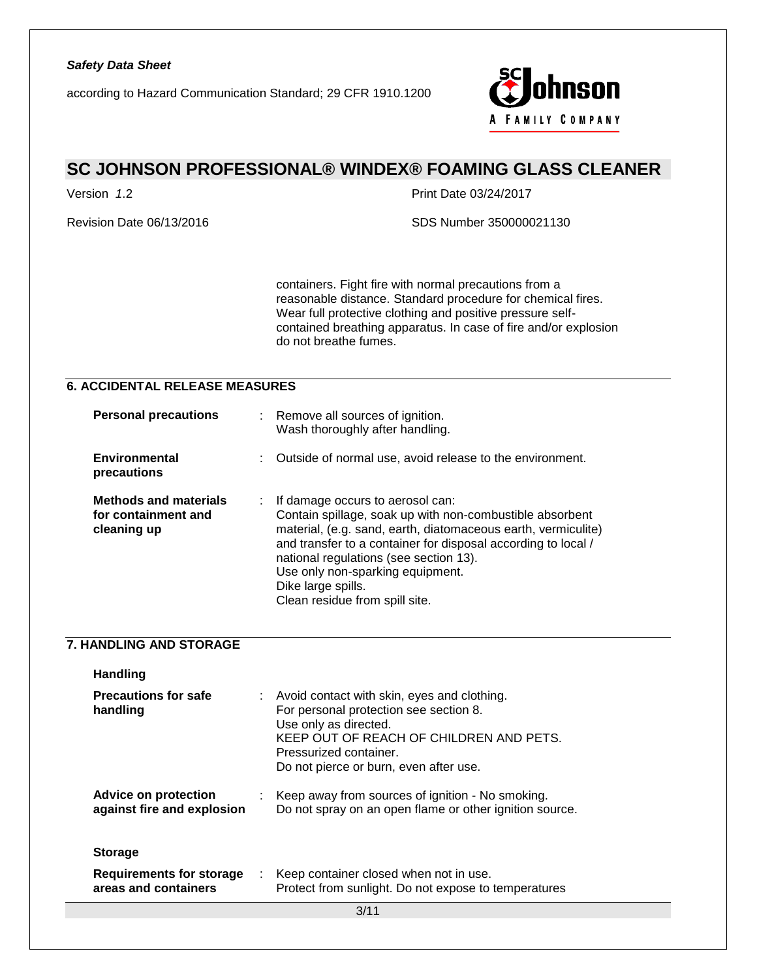

# **SC JOHNSON PROFESSIONAL® WINDEX® FOAMING GLASS CLEANER**

Version *1*.2 Print Date 03/24/2017

Revision Date 06/13/2016 SDS Number 350000021130

containers. Fight fire with normal precautions from a reasonable distance. Standard procedure for chemical fires. Wear full protective clothing and positive pressure selfcontained breathing apparatus. In case of fire and/or explosion do not breathe fumes.

# **6. ACCIDENTAL RELEASE MEASURES**

| <b>Personal precautions</b>                                        |   | Remove all sources of ignition.<br>Wash thoroughly after handling.                                                                                                                                                                                                                                                                                                   |
|--------------------------------------------------------------------|---|----------------------------------------------------------------------------------------------------------------------------------------------------------------------------------------------------------------------------------------------------------------------------------------------------------------------------------------------------------------------|
| Environmental<br>precautions                                       |   | Outside of normal use, avoid release to the environment.                                                                                                                                                                                                                                                                                                             |
| <b>Methods and materials</b><br>for containment and<br>cleaning up | ÷ | If damage occurs to aerosol can:<br>Contain spillage, soak up with non-combustible absorbent<br>material, (e.g. sand, earth, diatomaceous earth, vermiculite)<br>and transfer to a container for disposal according to local /<br>national regulations (see section 13).<br>Use only non-sparking equipment.<br>Dike large spills.<br>Clean residue from spill site. |

### **7. HANDLING AND STORAGE**

| <b>Handling</b>                                           |    |                                                                                                                                                                                                                                 |
|-----------------------------------------------------------|----|---------------------------------------------------------------------------------------------------------------------------------------------------------------------------------------------------------------------------------|
| <b>Precautions for safe</b><br>handling                   |    | : Avoid contact with skin, eyes and clothing.<br>For personal protection see section 8.<br>Use only as directed.<br>KEEP OUT OF REACH OF CHILDREN AND PETS.<br>Pressurized container.<br>Do not pierce or burn, even after use. |
| <b>Advice on protection</b><br>against fire and explosion |    | : Keep away from sources of ignition - No smoking.<br>Do not spray on an open flame or other ignition source.                                                                                                                   |
| <b>Storage</b>                                            |    |                                                                                                                                                                                                                                 |
| <b>Requirements for storage</b><br>areas and containers   | ÷. | Keep container closed when not in use.<br>Protect from sunlight. Do not expose to temperatures                                                                                                                                  |
|                                                           |    | 2144                                                                                                                                                                                                                            |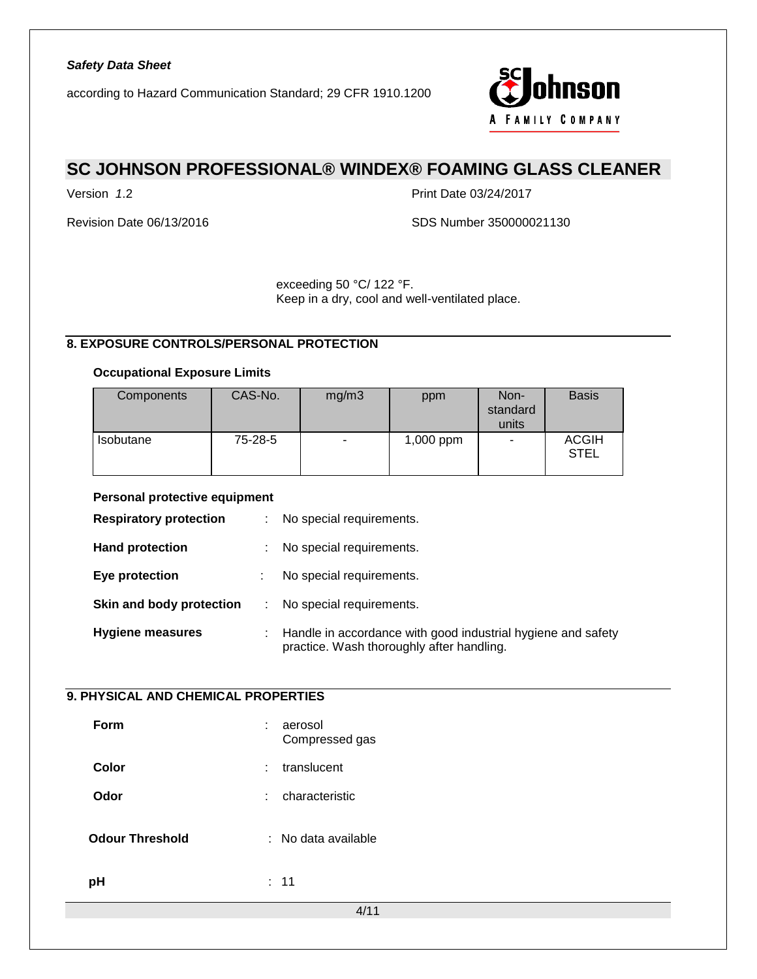according to Hazard Communication Standard; 29 CFR 1910.1200



# **SC JOHNSON PROFESSIONAL® WINDEX® FOAMING GLASS CLEANER**

Version *1*.2 Print Date 03/24/2017

Revision Date 06/13/2016 SDS Number 350000021130

exceeding 50 °C/ 122 °F. Keep in a dry, cool and well-ventilated place.

# **8. EXPOSURE CONTROLS/PERSONAL PROTECTION**

### **Occupational Exposure Limits**

| <b>Components</b> | CAS-No. | mg/m3 | ppm         | Non-<br>standard<br>units | <b>Basis</b>                |
|-------------------|---------|-------|-------------|---------------------------|-----------------------------|
| <b>Isobutane</b>  | 75-28-5 | ۰     | $1,000$ ppm |                           | <b>ACGIH</b><br><b>STEL</b> |

### **Personal protective equipment**

| <b>Respiratory protection</b> | t. | No special requirements.                                                                                  |
|-------------------------------|----|-----------------------------------------------------------------------------------------------------------|
| <b>Hand protection</b>        | ÷. | No special requirements.                                                                                  |
| Eye protection                |    | No special requirements.                                                                                  |
| Skin and body protection      |    | No special requirements.                                                                                  |
| <b>Hygiene measures</b>       | ÷. | Handle in accordance with good industrial hygiene and safety<br>practice. Wash thoroughly after handling. |

# **9. PHYSICAL AND CHEMICAL PROPERTIES**

| Form                   | ÷ | aerosol<br>Compressed gas |  |
|------------------------|---|---------------------------|--|
| <b>Color</b>           | ÷ | translucent               |  |
| Odor                   | ÷ | characteristic            |  |
| <b>Odour Threshold</b> |   | : No data available       |  |
| pH                     |   | : 11                      |  |
|                        |   | 4/11                      |  |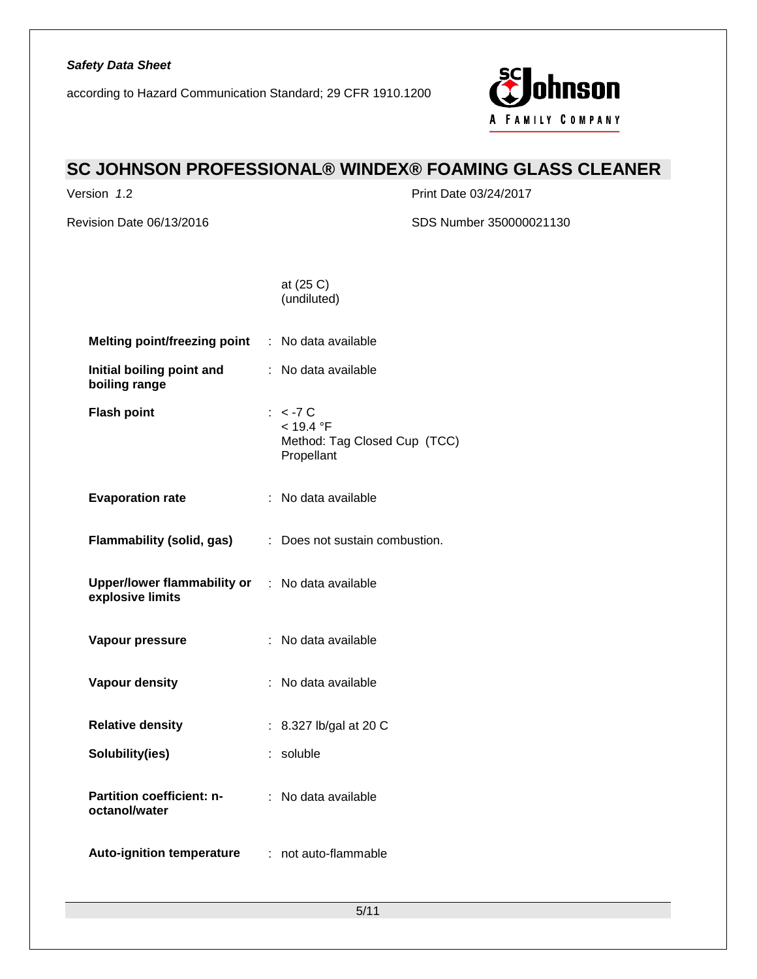according to Hazard Communication Standard; 29 CFR 1910.1200



# **SC JOHNSON PROFESSIONAL® WINDEX® FOAMING GLASS CLEANER**

Version *1*.2 Print Date 03/24/2017

Revision Date 06/13/2016 SDS Number 350000021130

at (25 C) (undiluted)

| <b>Melting point/freezing point : No data available</b>                    |                                                                       |
|----------------------------------------------------------------------------|-----------------------------------------------------------------------|
| Initial boiling point and<br>boiling range                                 | : No data available                                                   |
| <b>Flash point</b>                                                         | $: < -7$ C<br>< 19.4 °F<br>Method: Tag Closed Cup (TCC)<br>Propellant |
| <b>Evaporation rate</b>                                                    | : No data available                                                   |
| Flammability (solid, gas)                                                  | : Does not sustain combustion.                                        |
| <b>Upper/lower flammability or : No data available</b><br>explosive limits |                                                                       |
| Vapour pressure                                                            | : No data available                                                   |
| <b>Vapour density</b>                                                      | : No data available                                                   |
| <b>Relative density</b>                                                    | : 8.327 lb/gal at 20 C                                                |
| Solubility(ies)                                                            | : soluble                                                             |
| Partition coefficient: n-<br>octanol/water                                 | : No data available                                                   |
| <b>Auto-ignition temperature</b>                                           | : not auto-flammable                                                  |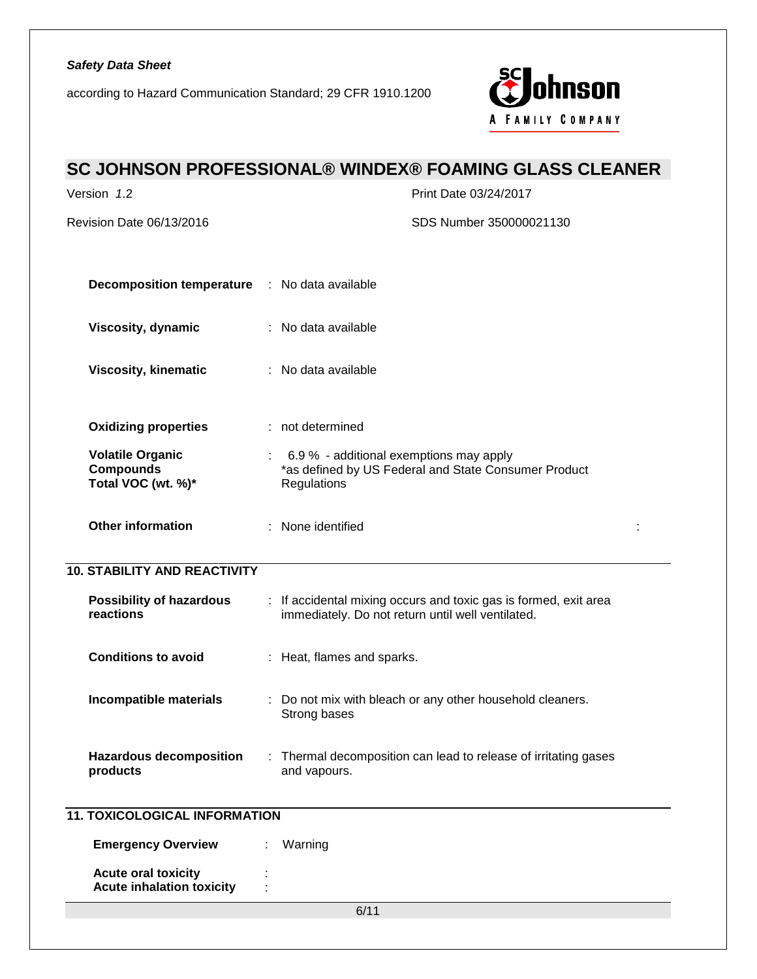according to Hazard Communication Standard; 29 CFR 1910.1200



# **SC JOHNSON PROFESSIONAL® WINDEX® FOAMING GLASS CLEANER** Version *1*.2 Print Date 03/24/2017 Revision Date 06/13/2016 SDS Number 350000021130 6/11 **Decomposition temperature** : No data available **Viscosity, dynamic** : No data available **Viscosity, kinematic** : No data available **Oxidizing properties** : not determined **Volatile Organic Compounds Total VOC (wt. %)\*** : 6.9 % - additional exemptions may apply \*as defined by US Federal and State Consumer Product **Regulations Other information : not determined : not determined : not determined : not determined : not determined : not determined :**  $\vert$ **10. STABILITY AND REACTIVITY Possibility of hazardous reactions** : If accidental mixing occurs and toxic gas is formed, exit area immediately. Do not return until well ventilated. **Conditions to avoid** : Heat, flames and sparks. **Incompatible materials** : Do not mix with bleach or any other household cleaners. Strong bases **Hazardous decomposition products** : Thermal decomposition can lead to release of irritating gases and vapours. **11. TOXICOLOGICAL INFORMATION Emergency Overview : Warning Acute oral toxicity** : **Acute inhalation toxicity** :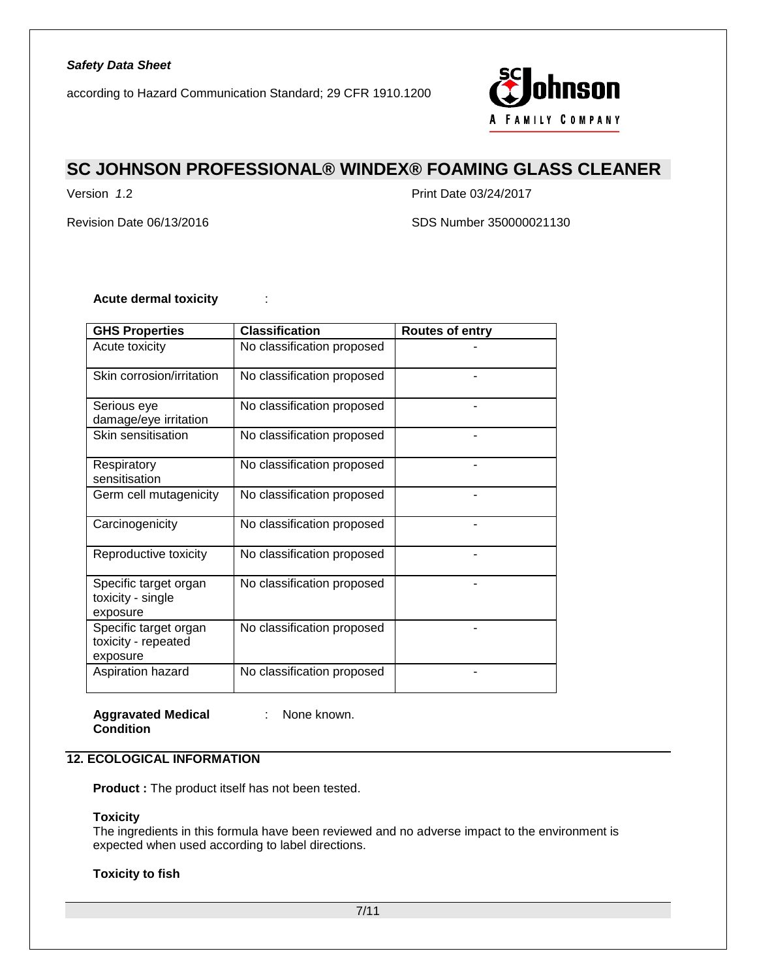according to Hazard Communication Standard; 29 CFR 1910.1200



# **SC JOHNSON PROFESSIONAL® WINDEX® FOAMING GLASS CLEANER**

Version *1*.2 Print Date 03/24/2017

Revision Date 06/13/2016 SDS Number 350000021130

## **Acute dermal toxicity** :

| <b>GHS Properties</b>                                    | <b>Classification</b>      | <b>Routes of entry</b> |
|----------------------------------------------------------|----------------------------|------------------------|
| Acute toxicity                                           | No classification proposed |                        |
| Skin corrosion/irritation                                | No classification proposed |                        |
| Serious eye<br>damage/eye irritation                     | No classification proposed |                        |
| Skin sensitisation                                       | No classification proposed |                        |
| Respiratory<br>sensitisation                             | No classification proposed |                        |
| Germ cell mutagenicity                                   | No classification proposed |                        |
| Carcinogenicity                                          | No classification proposed |                        |
| Reproductive toxicity                                    | No classification proposed |                        |
| Specific target organ<br>toxicity - single<br>exposure   | No classification proposed |                        |
| Specific target organ<br>toxicity - repeated<br>exposure | No classification proposed |                        |
| Aspiration hazard                                        | No classification proposed |                        |

**Aggravated Medical Condition**

: None known.

# **12. ECOLOGICAL INFORMATION**

**Product :** The product itself has not been tested.

### **Toxicity**

The ingredients in this formula have been reviewed and no adverse impact to the environment is expected when used according to label directions.

### **Toxicity to fish**

7/11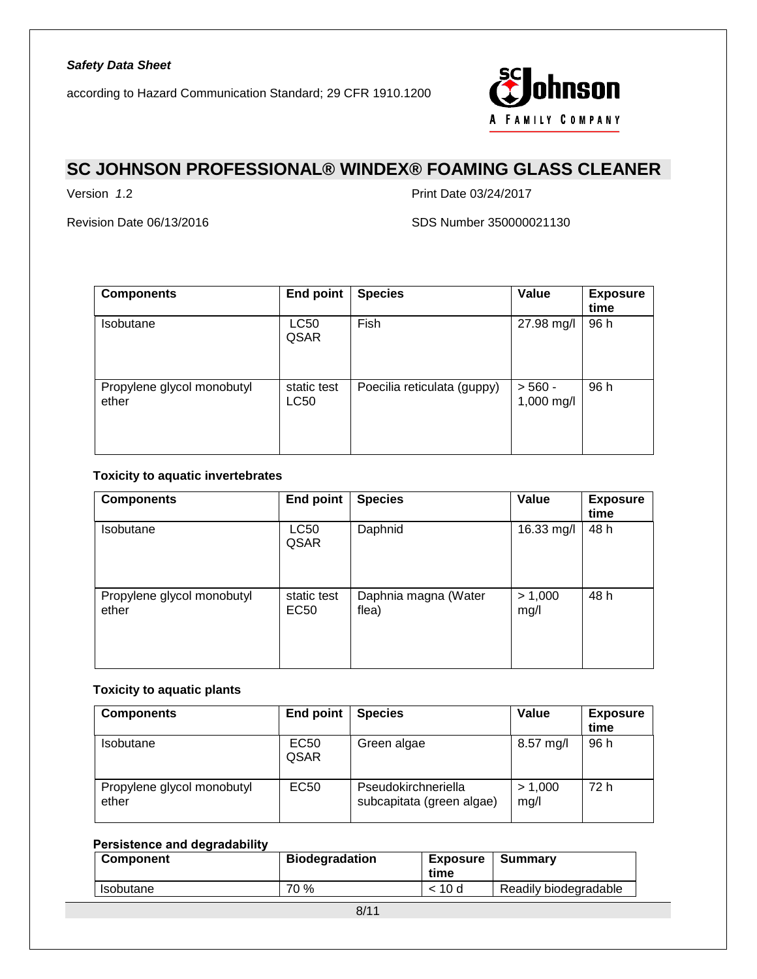

# **SC JOHNSON PROFESSIONAL® WINDEX® FOAMING GLASS CLEANER**

Version *1*.2 Print Date 03/24/2017

Revision Date 06/13/2016 SDS Number 350000021130

| <b>Components</b>                   | <b>End point</b>    | <b>Species</b>              | Value                   | <b>Exposure</b><br>time |
|-------------------------------------|---------------------|-----------------------------|-------------------------|-------------------------|
| <b>Isobutane</b>                    | <b>LC50</b><br>QSAR | Fish                        | 27.98 mg/l              | 96 h                    |
| Propylene glycol monobutyl<br>ether | static test<br>LC50 | Poecilia reticulata (guppy) | $> 560 -$<br>1,000 mg/l | 96 h                    |

## **Toxicity to aquatic invertebrates**

| <b>Components</b>                   | <b>End point</b>                | <b>Species</b>                | Value           | <b>Exposure</b><br>time |
|-------------------------------------|---------------------------------|-------------------------------|-----------------|-------------------------|
| Isobutane                           | LC50<br>QSAR                    | Daphnid                       | 16.33 mg/l      | 48 h                    |
| Propylene glycol monobutyl<br>ether | static test<br>EC <sub>50</sub> | Daphnia magna (Water<br>flea) | > 1,000<br>mg/l | 48 h                    |

## **Toxicity to aquatic plants**

| <b>Components</b>                   | End point        | <b>Species</b>                                   | Value           | <b>Exposure</b><br>time |
|-------------------------------------|------------------|--------------------------------------------------|-----------------|-------------------------|
| Isobutane                           | EC50<br>QSAR     | Green algae                                      | 8.57 mg/l       | 96 h                    |
| Propylene glycol monobutyl<br>ether | EC <sub>50</sub> | Pseudokirchneriella<br>subcapitata (green algae) | > 1,000<br>mg/l | 72 h                    |

# **Persistence and degradability**

| <b>Component</b> | <b>Biodegradation</b> | Exposure<br>time | Summarv               |
|------------------|-----------------------|------------------|-----------------------|
| <b>Isobutane</b> | 70 %                  | < 10d            | Readily biodegradable |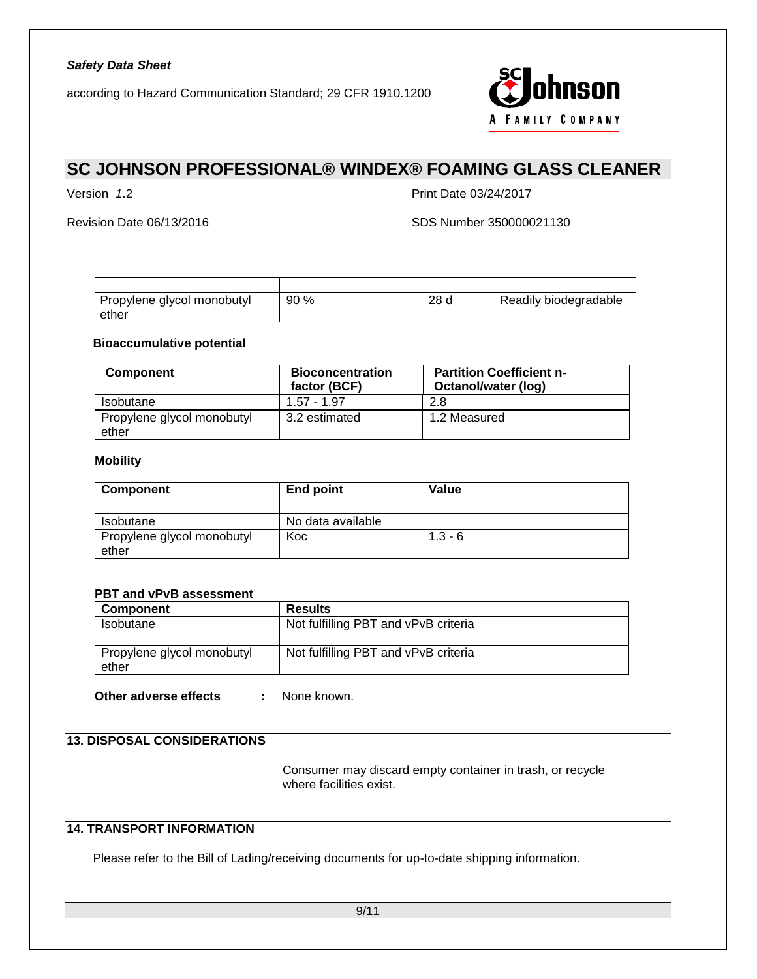

# **SC JOHNSON PROFESSIONAL® WINDEX® FOAMING GLASS CLEANER**

Version *1*.2 Print Date 03/24/2017

Revision Date 06/13/2016 SDS Number 350000021130

| Propylene glycol monobutyl<br>ether | 90% | 28 d | Readily biodegradable |
|-------------------------------------|-----|------|-----------------------|

## **Bioaccumulative potential**

| <b>Component</b>                    | <b>Bioconcentration</b><br>factor (BCF) | <b>Partition Coefficient n-</b><br>Octanol/water (log) |
|-------------------------------------|-----------------------------------------|--------------------------------------------------------|
| <b>Isobutane</b>                    | $1.57 - 1.97$                           | 2.8                                                    |
| Propylene glycol monobutyl<br>ether | 3.2 estimated                           | 1.2 Measured                                           |

### **Mobility**

| <b>Component</b>                    | End point         | Value     |
|-------------------------------------|-------------------|-----------|
| <b>Isobutane</b>                    | No data available |           |
| Propylene glycol monobutyl<br>ether | Koc               | $1.3 - 6$ |

## **PBT and vPvB assessment**

| Component                           | <b>Results</b>                       |
|-------------------------------------|--------------------------------------|
| <b>Isobutane</b>                    | Not fulfilling PBT and vPvB criteria |
| Propylene glycol monobutyl<br>ether | Not fulfilling PBT and vPvB criteria |

**Other adverse effects :** None known.

# **13. DISPOSAL CONSIDERATIONS**

Consumer may discard empty container in trash, or recycle where facilities exist.

# **14. TRANSPORT INFORMATION**

Please refer to the Bill of Lading/receiving documents for up-to-date shipping information.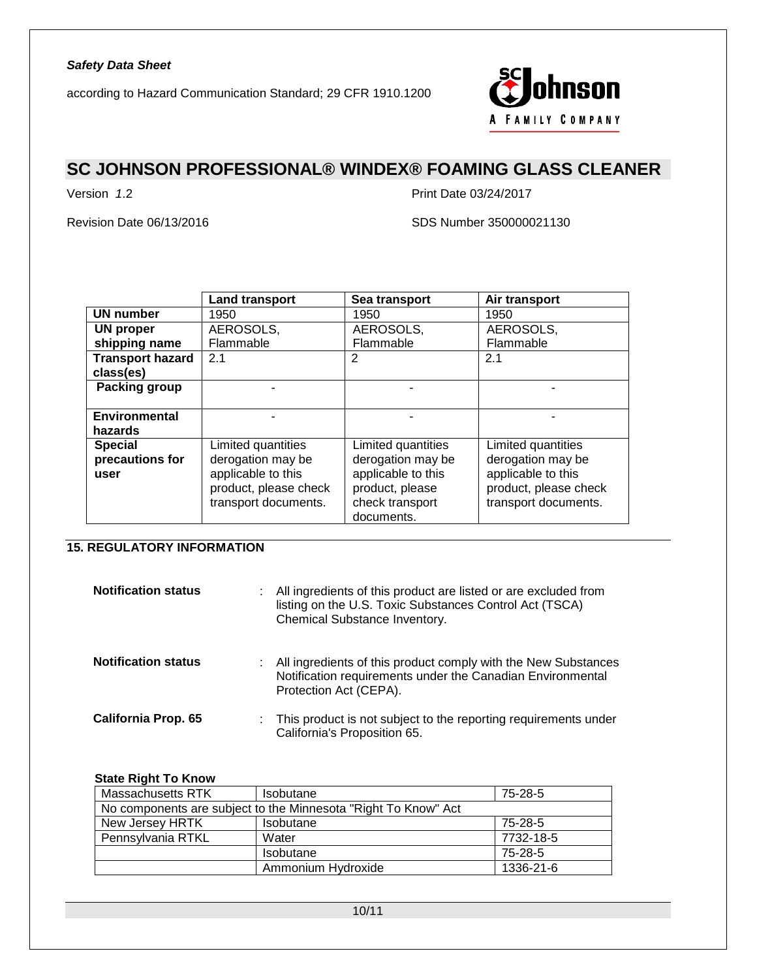

# **SC JOHNSON PROFESSIONAL® WINDEX® FOAMING GLASS CLEANER**

Version *1*.2 Print Date 03/24/2017

Revision Date 06/13/2016 SDS Number 350000021130

|                         | <b>Land transport</b> | Sea transport      | Air transport         |
|-------------------------|-----------------------|--------------------|-----------------------|
| <b>UN number</b>        | 1950                  | 1950               | 1950                  |
| <b>UN proper</b>        | AEROSOLS,             | AEROSOLS,          | AEROSOLS,             |
| shipping name           | Flammable             | Flammable          | Flammable             |
| <b>Transport hazard</b> | 2.1                   | 2                  | 2.1                   |
| class(es)               |                       |                    |                       |
| Packing group           |                       |                    |                       |
|                         |                       |                    |                       |
| <b>Environmental</b>    |                       |                    |                       |
| hazards                 |                       |                    |                       |
| <b>Special</b>          | Limited quantities    | Limited quantities | Limited quantities    |
| precautions for         | derogation may be     | derogation may be  | derogation may be     |
| user                    | applicable to this    | applicable to this | applicable to this    |
|                         | product, please check | product, please    | product, please check |
|                         | transport documents.  | check transport    | transport documents.  |
|                         |                       | documents.         |                       |

# **15. REGULATORY INFORMATION**

| <b>Notification status</b> |    | All ingredients of this product are listed or are excluded from<br>listing on the U.S. Toxic Substances Control Act (TSCA)<br>Chemical Substance Inventory. |
|----------------------------|----|-------------------------------------------------------------------------------------------------------------------------------------------------------------|
| <b>Notification status</b> | ÷. | All ingredients of this product comply with the New Substances<br>Notification requirements under the Canadian Environmental<br>Protection Act (CEPA).      |
| <b>California Prop. 65</b> |    | : This product is not subject to the reporting requirements under<br>California's Proposition 65.                                                           |

### **State Right To Know**

| Massachusetts RTK                                              | 75-28-5<br><b>Isobutane</b> |           |  |  |
|----------------------------------------------------------------|-----------------------------|-----------|--|--|
| No components are subject to the Minnesota "Right To Know" Act |                             |           |  |  |
| New Jersey HRTK                                                | Isobutane                   | 75-28-5   |  |  |
| Pennsylvania RTKL                                              | Water                       | 7732-18-5 |  |  |
|                                                                | Isobutane                   | 75-28-5   |  |  |
|                                                                | Ammonium Hydroxide          | 1336-21-6 |  |  |